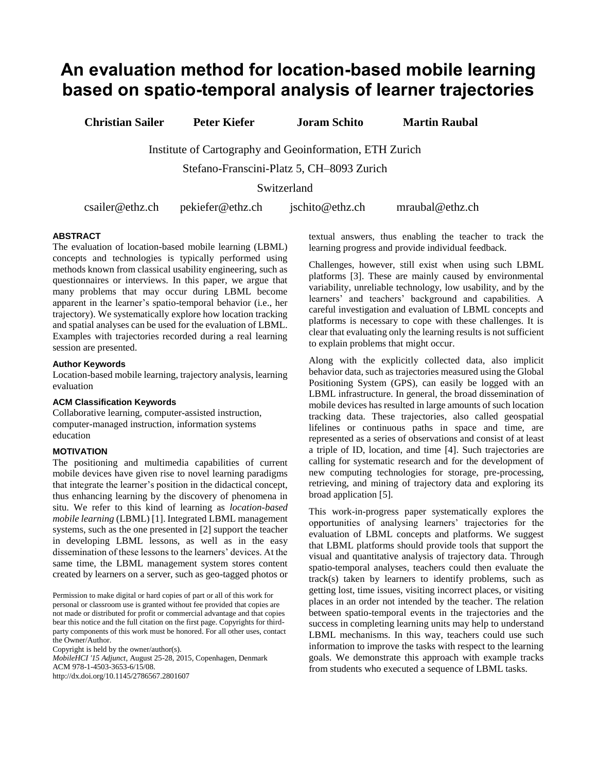# **An evaluation method for location-based mobile learning based on spatio-temporal analysis of learner trajectories**

**Christian Sailer Peter Kiefer Joram Schito Martin Raubal**

Institute of Cartography and Geoinformation, ETH Zurich

Stefano-Franscini-Platz 5, CH–8093 Zurich

Switzerland

csailer@ethz.ch pekiefer@ethz.ch jschito@ethz.ch mraubal@ethz.ch

# **ABSTRACT**

The evaluation of location-based mobile learning (LBML) concepts and technologies is typically performed using methods known from classical usability engineering, such as questionnaires or interviews. In this paper, we argue that many problems that may occur during LBML become apparent in the learner's spatio-temporal behavior (i.e., her trajectory). We systematically explore how location tracking and spatial analyses can be used for the evaluation of LBML. Examples with trajectories recorded during a real learning session are presented.

# **Author Keywords**

Location-based mobile learning, trajectory analysis, learning evaluation

# **ACM Classification Keywords**

Collaborative learning, computer-assisted instruction, computer-managed instruction, information systems education

# **MOTIVATION**

The positioning and multimedia capabilities of current mobile devices have given rise to novel learning paradigms that integrate the learner's position in the didactical concept, thus enhancing learning by the discovery of phenomena in situ. We refer to this kind of learning as *location-based mobile learning* (LBML) [1]. Integrated LBML management systems, such as the one presented in [2] support the teacher in developing LBML lessons, as well as in the easy dissemination of these lessons to the learners' devices. At the same time, the LBML management system stores content created by learners on a server, such as geo-tagged photos or

Permission to make digital or hard copies of part or all of this work for personal or classroom use is granted without fee provided that copies are not made or distributed for profit or commercial advantage and that copies bear this notice and the full citation on the first page. Copyrights for thirdparty components of this work must be honored. For all other uses, contact the Owner/Author.

Copyright is held by the owner/author(s).

*MobileHCI '15 Adjunct*, August 25-28, 2015, Copenhagen, Denmark ACM 978-1-4503-3653-6/15/08. http://dx.doi.org/10.1145/2786567.2801607

textual answers, thus enabling the teacher to track the learning progress and provide individual feedback.

Challenges, however, still exist when using such LBML platforms [3]. These are mainly caused by environmental variability, unreliable technology, low usability, and by the learners' and teachers' background and capabilities. A careful investigation and evaluation of LBML concepts and platforms is necessary to cope with these challenges. It is clear that evaluating only the learning results is not sufficient to explain problems that might occur.

Along with the explicitly collected data, also implicit behavior data, such as trajectories measured using the Global Positioning System (GPS), can easily be logged with an LBML infrastructure. In general, the broad dissemination of mobile devices has resulted in large amounts of such location tracking data. These trajectories, also called geospatial lifelines or continuous paths in space and time, are represented as a series of observations and consist of at least a triple of ID, location, and time [4]. Such trajectories are calling for systematic research and for the development of new computing technologies for storage, pre-processing, retrieving, and mining of trajectory data and exploring its broad application [5].

This work-in-progress paper systematically explores the opportunities of analysing learners' trajectories for the evaluation of LBML concepts and platforms. We suggest that LBML platforms should provide tools that support the visual and quantitative analysis of trajectory data. Through spatio-temporal analyses, teachers could then evaluate the track(s) taken by learners to identify problems, such as getting lost, time issues, visiting incorrect places, or visiting places in an order not intended by the teacher. The relation between spatio-temporal events in the trajectories and the success in completing learning units may help to understand LBML mechanisms. In this way, teachers could use such information to improve the tasks with respect to the learning goals. We demonstrate this approach with example tracks from students who executed a sequence of LBML tasks.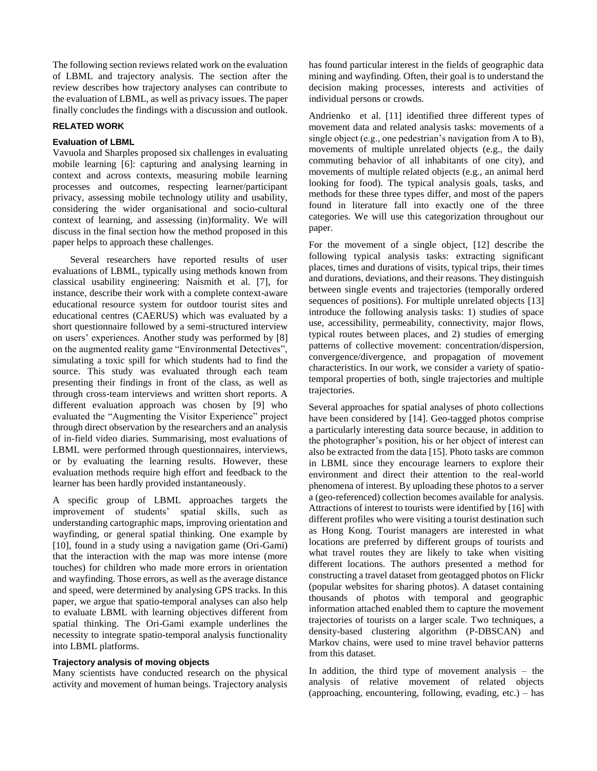The following section reviews related work on the evaluation of LBML and trajectory analysis. The section after the review describes how trajectory analyses can contribute to the evaluation of LBML, as well as privacy issues. The paper finally concludes the findings with a discussion and outlook.

#### **RELATED WORK**

# **Evaluation of LBML**

Vavuola and Sharples proposed six challenges in evaluating mobile learning [6]: capturing and analysing learning in context and across contexts, measuring mobile learning processes and outcomes, respecting learner/participant privacy, assessing mobile technology utility and usability, considering the wider organisational and socio-cultural context of learning, and assessing (in)formality. We will discuss in the final section how the method proposed in this paper helps to approach these challenges.

Several researchers have reported results of user evaluations of LBML, typically using methods known from classical usability engineering: Naismith et al. [7], for instance, describe their work with a complete context-aware educational resource system for outdoor tourist sites and educational centres (CAERUS) which was evaluated by a short questionnaire followed by a semi-structured interview on users' experiences. Another study was performed by [8] on the augmented reality game "Environmental Detectives", simulating a toxic spill for which students had to find the source. This study was evaluated through each team presenting their findings in front of the class, as well as through cross-team interviews and written short reports. A different evaluation approach was chosen by [9] who evaluated the "Augmenting the Visitor Experience" project through direct observation by the researchers and an analysis of in-field video diaries. Summarising, most evaluations of LBML were performed through questionnaires, interviews, or by evaluating the learning results. However, these evaluation methods require high effort and feedback to the learner has been hardly provided instantaneously.

A specific group of LBML approaches targets the improvement of students' spatial skills, such as understanding cartographic maps, improving orientation and wayfinding, or general spatial thinking. One example by [10], found in a study using a navigation game (Ori-Gami) that the interaction with the map was more intense (more touches) for children who made more errors in orientation and wayfinding. Those errors, as well as the average distance and speed, were determined by analysing GPS tracks. In this paper, we argue that spatio-temporal analyses can also help to evaluate LBML with learning objectives different from spatial thinking. The Ori-Gami example underlines the necessity to integrate spatio-temporal analysis functionality into LBML platforms.

#### **Trajectory analysis of moving objects**

Many scientists have conducted research on the physical activity and movement of human beings. Trajectory analysis has found particular interest in the fields of geographic data mining and wayfinding. Often, their goal is to understand the decision making processes, interests and activities of individual persons or crowds.

Andrienko et al. [11] identified three different types of movement data and related analysis tasks: movements of a single object (e.g., one pedestrian's navigation from A to B), movements of multiple unrelated objects (e.g., the daily commuting behavior of all inhabitants of one city), and movements of multiple related objects (e.g., an animal herd looking for food). The typical analysis goals, tasks, and methods for these three types differ, and most of the papers found in literature fall into exactly one of the three categories. We will use this categorization throughout our paper.

For the movement of a single object, [12] describe the following typical analysis tasks: extracting significant places, times and durations of visits, typical trips, their times and durations, deviations, and their reasons. They distinguish between single events and trajectories (temporally ordered sequences of positions). For multiple unrelated objects [13] introduce the following analysis tasks: 1) studies of space use, accessibility, permeability, connectivity, major flows, typical routes between places, and 2) studies of emerging patterns of collective movement: concentration/dispersion, convergence/divergence, and propagation of movement characteristics. In our work, we consider a variety of spatiotemporal properties of both, single trajectories and multiple trajectories.

Several approaches for spatial analyses of photo collections have been considered by [14]. Geo-tagged photos comprise a particularly interesting data source because, in addition to the photographer's position, his or her object of interest can also be extracted from the data [15]. Photo tasks are common in LBML since they encourage learners to explore their environment and direct their attention to the real-world phenomena of interest. By uploading these photos to a server a (geo-referenced) collection becomes available for analysis. Attractions of interest to tourists were identified by [16] with different profiles who were visiting a tourist destination such as Hong Kong. Tourist managers are interested in what locations are preferred by different groups of tourists and what travel routes they are likely to take when visiting different locations. The authors presented a method for constructing a travel dataset from geotagged photos on Flickr (popular websites for sharing photos). A dataset containing thousands of photos with temporal and geographic information attached enabled them to capture the movement trajectories of tourists on a larger scale. Two techniques, a density-based clustering algorithm (P-DBSCAN) and Markov chains, were used to mine travel behavior patterns from this dataset.

In addition, the third type of movement analysis – the analysis of relative movement of related objects (approaching, encountering, following, evading, etc.) – has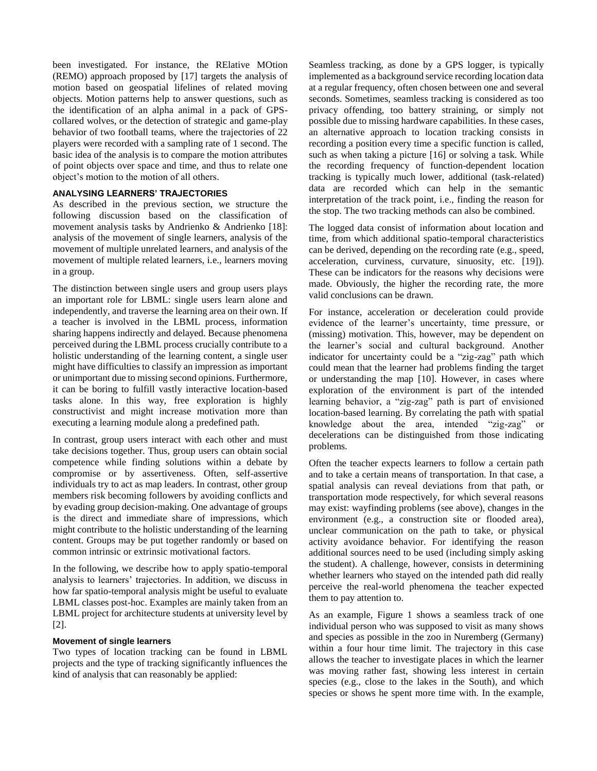been investigated. For instance, the RElative MOtion (REMO) approach proposed by [17] targets the analysis of motion based on geospatial lifelines of related moving objects. Motion patterns help to answer questions, such as the identification of an alpha animal in a pack of GPScollared wolves, or the detection of strategic and game-play behavior of two football teams, where the trajectories of 22 players were recorded with a sampling rate of 1 second. The basic idea of the analysis is to compare the motion attributes of point objects over space and time, and thus to relate one object's motion to the motion of all others.

# **ANALYSING LEARNERS' TRAJECTORIES**

As described in the previous section, we structure the following discussion based on the classification of movement analysis tasks by Andrienko & Andrienko [18]: analysis of the movement of single learners, analysis of the movement of multiple unrelated learners, and analysis of the movement of multiple related learners, i.e., learners moving in a group.

The distinction between single users and group users plays an important role for LBML: single users learn alone and independently, and traverse the learning area on their own. If a teacher is involved in the LBML process, information sharing happens indirectly and delayed. Because phenomena perceived during the LBML process crucially contribute to a holistic understanding of the learning content, a single user might have difficulties to classify an impression as important or unimportant due to missing second opinions. Furthermore, it can be boring to fulfill vastly interactive location-based tasks alone. In this way, free exploration is highly constructivist and might increase motivation more than executing a learning module along a predefined path.

In contrast, group users interact with each other and must take decisions together. Thus, group users can obtain social competence while finding solutions within a debate by compromise or by assertiveness. Often, self-assertive individuals try to act as map leaders. In contrast, other group members risk becoming followers by avoiding conflicts and by evading group decision-making. One advantage of groups is the direct and immediate share of impressions, which might contribute to the holistic understanding of the learning content. Groups may be put together randomly or based on common intrinsic or extrinsic motivational factors.

In the following, we describe how to apply spatio-temporal analysis to learners' trajectories. In addition, we discuss in how far spatio-temporal analysis might be useful to evaluate LBML classes post-hoc. Examples are mainly taken from an LBML project for architecture students at university level by [2].

# **Movement of single learners**

Two types of location tracking can be found in LBML projects and the type of tracking significantly influences the kind of analysis that can reasonably be applied:

Seamless tracking, as done by a GPS logger, is typically implemented as a background service recording location data at a regular frequency, often chosen between one and several seconds. Sometimes, seamless tracking is considered as too privacy offending, too battery straining, or simply not possible due to missing hardware capabilities. In these cases, an alternative approach to location tracking consists in recording a position every time a specific function is called, such as when taking a picture [16] or solving a task. While the recording frequency of function-dependent location tracking is typically much lower, additional (task-related) data are recorded which can help in the semantic interpretation of the track point, i.e., finding the reason for the stop. The two tracking methods can also be combined.

The logged data consist of information about location and time, from which additional spatio-temporal characteristics can be derived, depending on the recording rate (e.g., speed, acceleration, curviness, curvature, sinuosity, etc. [19]). These can be indicators for the reasons why decisions were made. Obviously, the higher the recording rate, the more valid conclusions can be drawn.

For instance, acceleration or deceleration could provide evidence of the learner's uncertainty, time pressure, or (missing) motivation. This, however, may be dependent on the learner's social and cultural background. Another indicator for uncertainty could be a "zig-zag" path which could mean that the learner had problems finding the target or understanding the map [10]. However, in cases where exploration of the environment is part of the intended learning behavior, a "zig-zag" path is part of envisioned location-based learning. By correlating the path with spatial knowledge about the area, intended "zig-zag" or decelerations can be distinguished from those indicating problems.

Often the teacher expects learners to follow a certain path and to take a certain means of transportation. In that case, a spatial analysis can reveal deviations from that path, or transportation mode respectively, for which several reasons may exist: wayfinding problems (see above), changes in the environment (e.g., a construction site or flooded area), unclear communication on the path to take, or physical activity avoidance behavior. For identifying the reason additional sources need to be used (including simply asking the student). A challenge, however, consists in determining whether learners who stayed on the intended path did really perceive the real-world phenomena the teacher expected them to pay attention to.

As an example, Figure 1 shows a seamless track of one individual person who was supposed to visit as many shows and species as possible in the zoo in Nuremberg (Germany) within a four hour time limit. The trajectory in this case allows the teacher to investigate places in which the learner was moving rather fast, showing less interest in certain species (e.g., close to the lakes in the South), and which species or shows he spent more time with. In the example,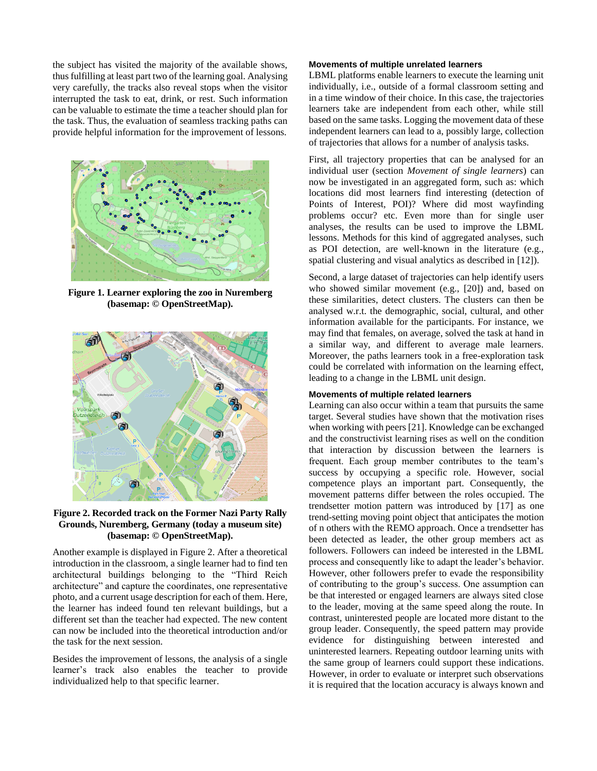the subject has visited the majority of the available shows, thus fulfilling at least part two of the learning goal. Analysing very carefully, the tracks also reveal stops when the visitor interrupted the task to eat, drink, or rest. Such information can be valuable to estimate the time a teacher should plan for the task. Thus, the evaluation of seamless tracking paths can provide helpful information for the improvement of lessons.



**Figure 1. Learner exploring the zoo in Nuremberg (basemap: © OpenStreetMap).**



**Figure 2. Recorded track on the Former Nazi Party Rally Grounds, Nuremberg, Germany (today a museum site) (basemap: © OpenStreetMap).**

Another example is displayed in Figure 2. After a theoretical introduction in the classroom, a single learner had to find ten architectural buildings belonging to the "Third Reich architecture" and capture the coordinates, one representative photo, and a current usage description for each of them. Here, the learner has indeed found ten relevant buildings, but a different set than the teacher had expected. The new content can now be included into the theoretical introduction and/or the task for the next session.

Besides the improvement of lessons, the analysis of a single learner's track also enables the teacher to provide individualized help to that specific learner.

#### **Movements of multiple unrelated learners**

LBML platforms enable learners to execute the learning unit individually, i.e., outside of a formal classroom setting and in a time window of their choice. In this case, the trajectories learners take are independent from each other, while still based on the same tasks. Logging the movement data of these independent learners can lead to a, possibly large, collection of trajectories that allows for a number of analysis tasks.

First, all trajectory properties that can be analysed for an individual user (section *Movement of single learners*) can now be investigated in an aggregated form, such as: which locations did most learners find interesting (detection of Points of Interest, POI)? Where did most wayfinding problems occur? etc. Even more than for single user analyses, the results can be used to improve the LBML lessons. Methods for this kind of aggregated analyses, such as POI detection, are well-known in the literature (e.g., spatial clustering and visual analytics as described in [12]).

Second, a large dataset of trajectories can help identify users who showed similar movement (e.g., [20]) and, based on these similarities, detect clusters. The clusters can then be analysed w.r.t. the demographic, social, cultural, and other information available for the participants. For instance, we may find that females, on average, solved the task at hand in a similar way, and different to average male learners. Moreover, the paths learners took in a free-exploration task could be correlated with information on the learning effect, leading to a change in the LBML unit design.

#### **Movements of multiple related learners**

Learning can also occur within a team that pursuits the same target. Several studies have shown that the motivation rises when working with peers [21]. Knowledge can be exchanged and the constructivist learning rises as well on the condition that interaction by discussion between the learners is frequent. Each group member contributes to the team's success by occupying a specific role. However, social competence plays an important part. Consequently, the movement patterns differ between the roles occupied. The trendsetter motion pattern was introduced by [17] as one trend-setting moving point object that anticipates the motion of n others with the REMO approach. Once a trendsetter has been detected as leader, the other group members act as followers. Followers can indeed be interested in the LBML process and consequently like to adapt the leader's behavior. However, other followers prefer to evade the responsibility of contributing to the group's success. One assumption can be that interested or engaged learners are always sited close to the leader, moving at the same speed along the route. In contrast, uninterested people are located more distant to the group leader. Consequently, the speed pattern may provide evidence for distinguishing between interested and uninterested learners. Repeating outdoor learning units with the same group of learners could support these indications. However, in order to evaluate or interpret such observations it is required that the location accuracy is always known and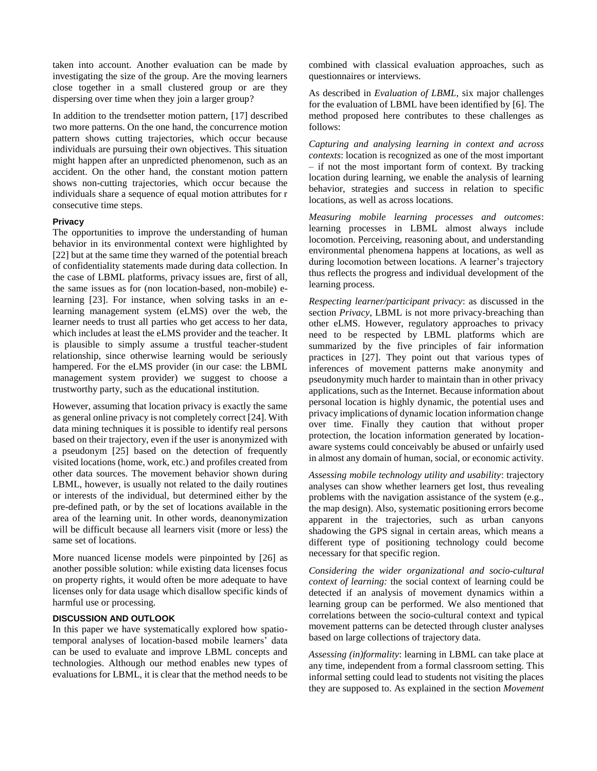taken into account. Another evaluation can be made by investigating the size of the group. Are the moving learners close together in a small clustered group or are they dispersing over time when they join a larger group?

In addition to the trendsetter motion pattern, [17] described two more patterns. On the one hand, the concurrence motion pattern shows cutting trajectories, which occur because individuals are pursuing their own objectives. This situation might happen after an unpredicted phenomenon, such as an accident. On the other hand, the constant motion pattern shows non-cutting trajectories, which occur because the individuals share a sequence of equal motion attributes for r consecutive time steps.

#### **Privacy**

The opportunities to improve the understanding of human behavior in its environmental context were highlighted by [22] but at the same time they warned of the potential breach of confidentiality statements made during data collection. In the case of LBML platforms, privacy issues are, first of all, the same issues as for (non location-based, non-mobile) elearning [23]. For instance, when solving tasks in an elearning management system (eLMS) over the web, the learner needs to trust all parties who get access to her data, which includes at least the eLMS provider and the teacher. It is plausible to simply assume a trustful teacher-student relationship, since otherwise learning would be seriously hampered. For the eLMS provider (in our case: the LBML management system provider) we suggest to choose a trustworthy party, such as the educational institution.

However, assuming that location privacy is exactly the same as general online privacy is not completely correct [24]. With data mining techniques it is possible to identify real persons based on their trajectory, even if the user is anonymized with a pseudonym [25] based on the detection of frequently visited locations (home, work, etc.) and profiles created from other data sources. The movement behavior shown during LBML, however, is usually not related to the daily routines or interests of the individual, but determined either by the pre-defined path, or by the set of locations available in the area of the learning unit. In other words, deanonymization will be difficult because all learners visit (more or less) the same set of locations.

More nuanced license models were pinpointed by [26] as another possible solution: while existing data licenses focus on property rights, it would often be more adequate to have licenses only for data usage which disallow specific kinds of harmful use or processing.

#### **DISCUSSION AND OUTLOOK**

In this paper we have systematically explored how spatiotemporal analyses of location-based mobile learners' data can be used to evaluate and improve LBML concepts and technologies. Although our method enables new types of evaluations for LBML, it is clear that the method needs to be

combined with classical evaluation approaches, such as questionnaires or interviews.

As described in *Evaluation of LBML*, six major challenges for the evaluation of LBML have been identified by [6]. The method proposed here contributes to these challenges as follows:

*Capturing and analysing learning in context and across contexts*: location is recognized as one of the most important – if not the most important form of context. By tracking location during learning, we enable the analysis of learning behavior, strategies and success in relation to specific locations, as well as across locations.

*Measuring mobile learning processes and outcomes*: learning processes in LBML almost always include locomotion. Perceiving, reasoning about, and understanding environmental phenomena happens at locations, as well as during locomotion between locations. A learner's trajectory thus reflects the progress and individual development of the learning process.

*Respecting learner/participant privacy*: as discussed in the section *Privacy*, LBML is not more privacy-breaching than other eLMS. However, regulatory approaches to privacy need to be respected by LBML platforms which are summarized by the five principles of fair information practices in [27]. They point out that various types of inferences of movement patterns make anonymity and pseudonymity much harder to maintain than in other privacy applications, such as the Internet. Because information about personal location is highly dynamic, the potential uses and privacy implications of dynamic location information change over time. Finally they caution that without proper protection, the location information generated by locationaware systems could conceivably be abused or unfairly used in almost any domain of human, social, or economic activity.

*Assessing mobile technology utility and usability*: trajectory analyses can show whether learners get lost, thus revealing problems with the navigation assistance of the system (e.g., the map design). Also, systematic positioning errors become apparent in the trajectories, such as urban canyons shadowing the GPS signal in certain areas, which means a different type of positioning technology could become necessary for that specific region.

*Considering the wider organizational and socio-cultural context of learning:* the social context of learning could be detected if an analysis of movement dynamics within a learning group can be performed. We also mentioned that correlations between the socio-cultural context and typical movement patterns can be detected through cluster analyses based on large collections of trajectory data.

*Assessing (in)formality*: learning in LBML can take place at any time, independent from a formal classroom setting. This informal setting could lead to students not visiting the places they are supposed to. As explained in the section *Movement*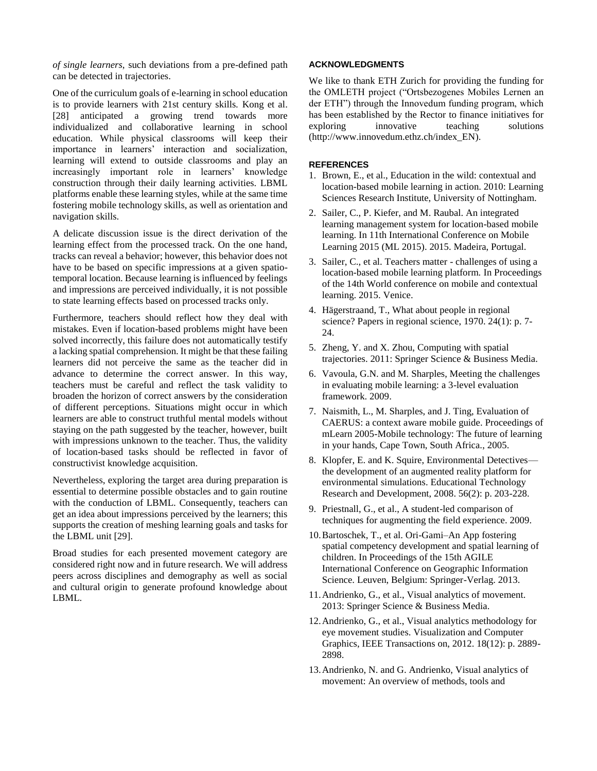*of single learners*, such deviations from a pre-defined path can be detected in trajectories.

One of the curriculum goals of e-learning in school education is to provide learners with 21st century skills. Kong et al. [28] anticipated a growing trend towards more individualized and collaborative learning in school education. While physical classrooms will keep their importance in learners' interaction and socialization, learning will extend to outside classrooms and play an increasingly important role in learners' knowledge construction through their daily learning activities. LBML platforms enable these learning styles, while at the same time fostering mobile technology skills, as well as orientation and navigation skills.

A delicate discussion issue is the direct derivation of the learning effect from the processed track. On the one hand, tracks can reveal a behavior; however, this behavior does not have to be based on specific impressions at a given spatiotemporal location. Because learning is influenced by feelings and impressions are perceived individually, it is not possible to state learning effects based on processed tracks only.

Furthermore, teachers should reflect how they deal with mistakes. Even if location-based problems might have been solved incorrectly, this failure does not automatically testify a lacking spatial comprehension. It might be that these failing learners did not perceive the same as the teacher did in advance to determine the correct answer. In this way, teachers must be careful and reflect the task validity to broaden the horizon of correct answers by the consideration of different perceptions. Situations might occur in which learners are able to construct truthful mental models without staying on the path suggested by the teacher, however, built with impressions unknown to the teacher. Thus, the validity of location-based tasks should be reflected in favor of constructivist knowledge acquisition.

Nevertheless, exploring the target area during preparation is essential to determine possible obstacles and to gain routine with the conduction of LBML. Consequently, teachers can get an idea about impressions perceived by the learners; this supports the creation of meshing learning goals and tasks for the LBML unit [29].

Broad studies for each presented movement category are considered right now and in future research. We will address peers across disciplines and demography as well as social and cultural origin to generate profound knowledge about LBML.

# **ACKNOWLEDGMENTS**

We like to thank ETH Zurich for providing the funding for the OMLETH project ("Ortsbezogenes Mobiles Lernen an der ETH") through the Innovedum funding program, which has been established by the Rector to finance initiatives for exploring innovative teaching solutions (http://www.innovedum.ethz.ch/index\_EN).

# **REFERENCES**

- 1. Brown, E., et al., Education in the wild: contextual and location-based mobile learning in action. 2010: Learning Sciences Research Institute, University of Nottingham.
- 2. Sailer, C., P. Kiefer, and M. Raubal. An integrated learning management system for location-based mobile learning. In 11th International Conference on Mobile Learning 2015 (ML 2015). 2015. Madeira, Portugal.
- 3. Sailer, C., et al. Teachers matter challenges of using a location-based mobile learning platform. In Proceedings of the 14th World conference on mobile and contextual learning. 2015. Venice.
- 4. Hägerstraand, T., What about people in regional science? Papers in regional science, 1970. 24(1): p. 7- 24.
- 5. Zheng, Y. and X. Zhou, Computing with spatial trajectories. 2011: Springer Science & Business Media.
- 6. Vavoula, G.N. and M. Sharples, Meeting the challenges in evaluating mobile learning: a 3-level evaluation framework. 2009.
- 7. Naismith, L., M. Sharples, and J. Ting, Evaluation of CAERUS: a context aware mobile guide. Proceedings of mLearn 2005-Mobile technology: The future of learning in your hands, Cape Town, South Africa., 2005.
- 8. Klopfer, E. and K. Squire, Environmental Detectives the development of an augmented reality platform for environmental simulations. Educational Technology Research and Development, 2008. 56(2): p. 203-228.
- 9. Priestnall, G., et al., A student-led comparison of techniques for augmenting the field experience. 2009.
- 10.Bartoschek, T., et al. Ori-Gami–An App fostering spatial competency development and spatial learning of children. In Proceedings of the 15th AGILE International Conference on Geographic Information Science. Leuven, Belgium: Springer-Verlag. 2013.
- 11.Andrienko, G., et al., Visual analytics of movement. 2013: Springer Science & Business Media.
- 12.Andrienko, G., et al., Visual analytics methodology for eye movement studies. Visualization and Computer Graphics, IEEE Transactions on, 2012. 18(12): p. 2889- 2898.
- 13.Andrienko, N. and G. Andrienko, Visual analytics of movement: An overview of methods, tools and